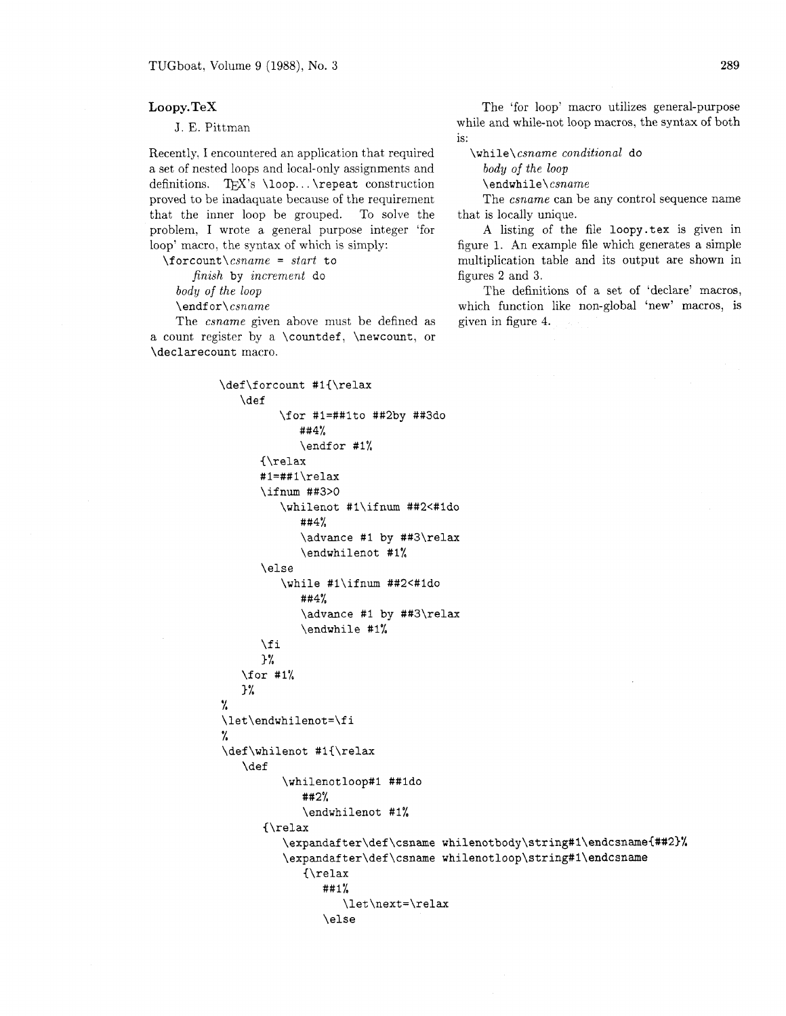## **Loopy.TeX**

J. E. Pittman

Recently, I encountered an application that required a set of nested loops and local-only assignments and definitions. TEX's \loop... \repeat construction proved to be inadaquate because of the requirement that the inner loop be grouped. To solve the problem, I wrote a general purpose integer 'for loop' macro. the syntax of which is simply:

 $\forall$ forcount $\forall$ csname = start to

finish by increment do

body of the loop  $\end{math}cspace$ 

The csname given above must be defined as a count register by a \countdef, \newcount, or \declarecount macro.

> \def\forcount #1{\relax \def \for #1=##1to ##2by ##3do  $##4%$ \endfor #1% {\relax #1=##1\relax \ifnum ##3>0 \whilenot #l\if num ##2<#ldo ##4% \advance #I by ##3\relax \endwhilenot #1% \else \while #l\ifnum ##2<#1do ##4% \advance #I by ##3\relax \endwhile #I%  $\chi$ fi 3 % \for #1% 3%  $\frac{1}{2}$ \let\endwhilenot=\fi % \def\whilenot #1{\relax **\def** \whilenotloop#1 ##1do  $#42%$ \endwhilenot #1%  $\{ \text{relax}$ \expandafter\def\csname whilenotbody\string#1\endcsname{##2}% \expandafter\def\csname whilenotloop\string#1\endcsname  $\{ \text{relax}$ ##1% \let\next=\relax \else

The 'for loop' macro utilizes general-purpose while and while-not loop macros, the syntax of both is:

 $\infty$ csname conditional do

body of the loop

\endwhile\csname

The *csname* can be any control sequence name that is locally unique.

A listing of the file loopy .tex is given in figure 1. An example file which generates a simple multiplication table and its output are shown in figures 2 and **3.** 

The definitions of a set of 'declare' macros, which function like non-global 'new' macros, is given in figure 4.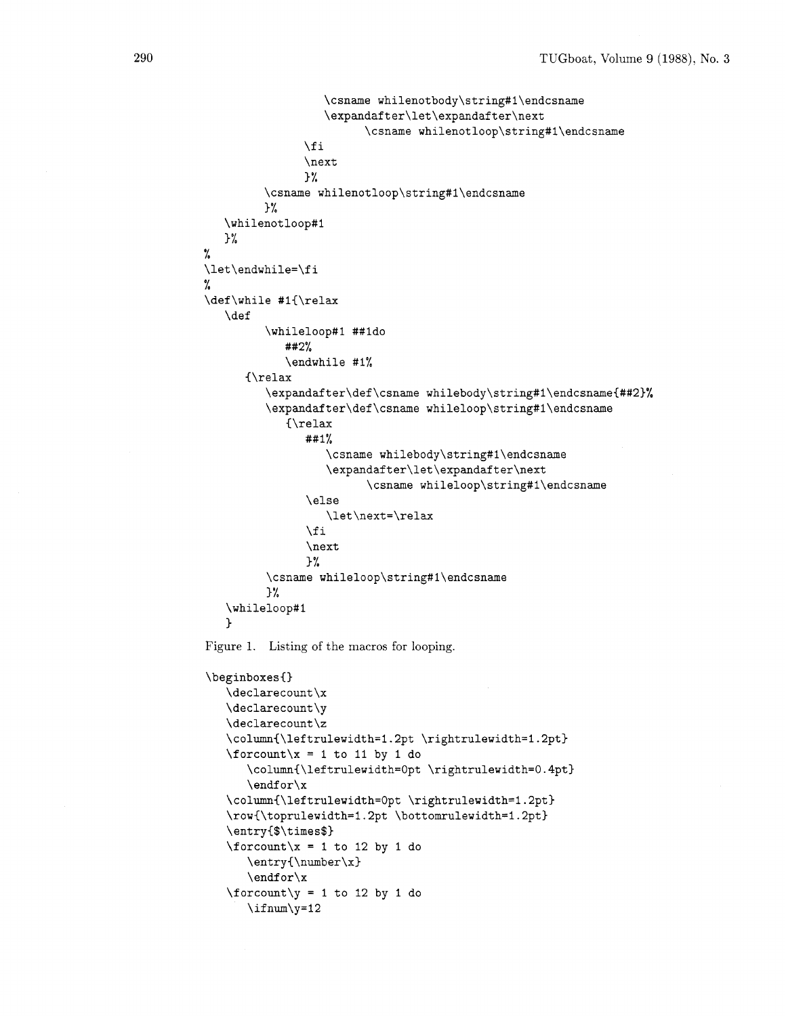```
\csname whilenotbody\string#1\endcsname
                    \expandafter\let\expandafter\next
                          \csname whilenotloop\string#1\endcsname
                \fi
                \frac{1}{2}\csname whilenotloop\string#1\endcsname
         \frac{1}{2}%
   \whilenotloop#1
   \frac{1}{2}%
%
\let\endwhile=\fi
%
\def\while #1{\relax
   \def
          \whileloop#1 ##1do
             ##2%
             \endwhile #1%
      {\relax
          \expandafter\def\csname whilebody\string#1\endcsname{##2}%
          \expandafter\def\csname whileloop\string#1\endcsname
             \{ \text{relax}##1%\csname whilebody\string#1\endcsname
                    \expandafter\let\expandafter\next
                           \csname whileloop\string#1\endcsname
                 \else
                    \let\next=\relax
                 \sqrt{fi}\next
                \frac{1}{2}\csname whileloop\string#1\endcsname
          \frac{1}{2}\whileloop#1
   \mathbf{1}Figure 1. Listing of the macros for looping. \beginboxes{}
   \det \varphi\declarecount\y
   \declarecount\z
   \column{\leftrulewidth=1.2pt \rightrulewidth=1.2pt}
   \forallforcount\forallx = 1 to 11 by 1 do
       \column{\leftrulewidth=0pt \rightrulewidth=0.4pt}
       \endfor\ x\column{\leftrulewidth=0pt \rightrulewidth=1.2pt}
   \row{\toprulewidth=1.2pt \bottomrulewidth=1.2pt}
   \entry{$\times$}
   \forallforcount\forallx = 1 to 12 by 1 do
       \entry{\number\x}
       \endfor \x\forallforcount\forally = 1 to 12 by 1 do
       \ifnum\y=12
```